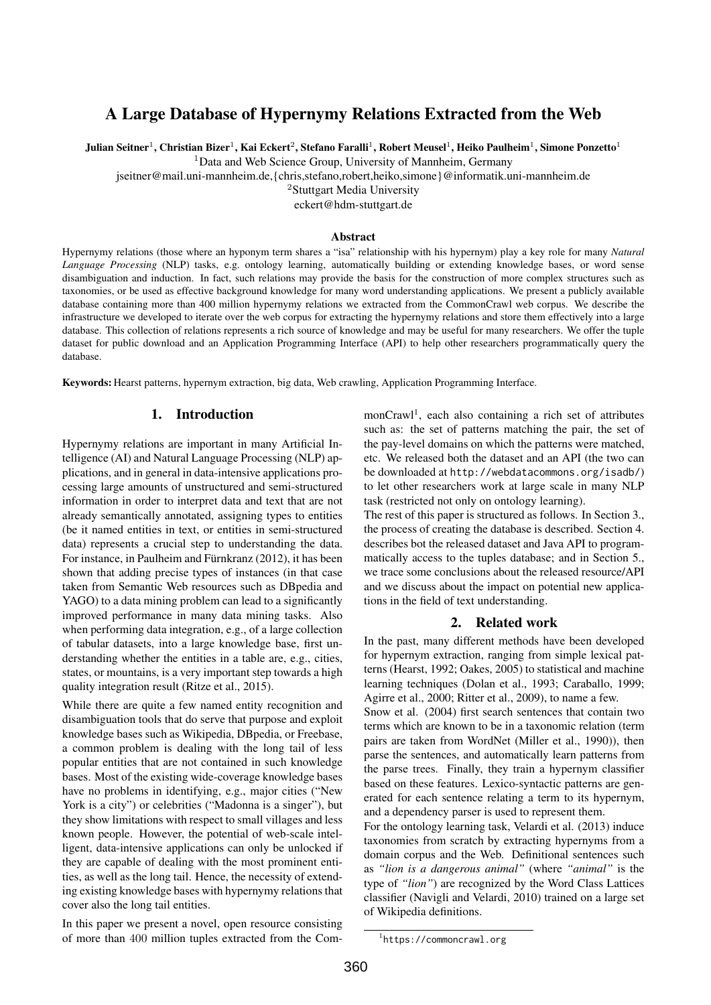# A Large Database of Hypernymy Relations Extracted from the Web

Julian Seitner $^1$ , Christian Bizer $^1$ , Kai Eckert $^2$ , Stefano Faralli $^1$ , Robert Meusel $^1$ , Heiko Paulheim $^1$ , Simone Ponzetto $^1$ 

<sup>1</sup>Data and Web Science Group, University of Mannheim, Germany

jseitner@mail.uni-mannheim.de,{chris,stefano,robert,heiko,simone}@informatik.uni-mannheim.de

<sup>2</sup>Stuttgart Media University

eckert@hdm-stuttgart.de

#### Abstract

Hypernymy relations (those where an hyponym term shares a "isa" relationship with his hypernym) play a key role for many *Natural Language Processing* (NLP) tasks, e.g. ontology learning, automatically building or extending knowledge bases, or word sense disambiguation and induction. In fact, such relations may provide the basis for the construction of more complex structures such as taxonomies, or be used as effective background knowledge for many word understanding applications. We present a publicly available database containing more than 400 million hypernymy relations we extracted from the CommonCrawl web corpus. We describe the infrastructure we developed to iterate over the web corpus for extracting the hypernymy relations and store them effectively into a large database. This collection of relations represents a rich source of knowledge and may be useful for many researchers. We offer the tuple dataset for public download and an Application Programming Interface (API) to help other researchers programmatically query the database.

Keywords: Hearst patterns, hypernym extraction, big data, Web crawling, Application Programming Interface.

## 1. Introduction

Hypernymy relations are important in many Artificial Intelligence (AI) and Natural Language Processing (NLP) applications, and in general in data-intensive applications processing large amounts of unstructured and semi-structured information in order to interpret data and text that are not already semantically annotated, assigning types to entities (be it named entities in text, or entities in semi-structured data) represents a crucial step to understanding the data. For instance, in Paulheim and Fürnkranz (2012), it has been shown that adding precise types of instances (in that case taken from Semantic Web resources such as DBpedia and YAGO) to a data mining problem can lead to a significantly improved performance in many data mining tasks. Also when performing data integration, e.g., of a large collection of tabular datasets, into a large knowledge base, first understanding whether the entities in a table are, e.g., cities, states, or mountains, is a very important step towards a high quality integration result (Ritze et al., 2015).

While there are quite a few named entity recognition and disambiguation tools that do serve that purpose and exploit knowledge bases such as Wikipedia, DBpedia, or Freebase, a common problem is dealing with the long tail of less popular entities that are not contained in such knowledge bases. Most of the existing wide-coverage knowledge bases have no problems in identifying, e.g., major cities ("New York is a city") or celebrities ("Madonna is a singer"), but they show limitations with respect to small villages and less known people. However, the potential of web-scale intelligent, data-intensive applications can only be unlocked if they are capable of dealing with the most prominent entities, as well as the long tail. Hence, the necessity of extending existing knowledge bases with hypernymy relations that cover also the long tail entities.

In this paper we present a novel, open resource consisting of more than 400 million tuples extracted from the Com-

monCrawl<sup>1</sup>, each also containing a rich set of attributes such as: the set of patterns matching the pair, the set of the pay-level domains on which the patterns were matched, etc. We released both the dataset and an API (the two can be downloaded at http://webdatacommons.org/isadb/) to let other researchers work at large scale in many NLP task (restricted not only on ontology learning).

The rest of this paper is structured as follows. In Section 3., the process of creating the database is described. Section 4. describes bot the released dataset and Java API to programmatically access to the tuples database; and in Section 5., we trace some conclusions about the released resource/API and we discuss about the impact on potential new applications in the field of text understanding.

#### 2. Related work

In the past, many different methods have been developed for hypernym extraction, ranging from simple lexical patterns (Hearst, 1992; Oakes, 2005) to statistical and machine learning techniques (Dolan et al., 1993; Caraballo, 1999; Agirre et al., 2000; Ritter et al., 2009), to name a few.

Snow et al. (2004) first search sentences that contain two terms which are known to be in a taxonomic relation (term pairs are taken from WordNet (Miller et al., 1990)), then parse the sentences, and automatically learn patterns from the parse trees. Finally, they train a hypernym classifier based on these features. Lexico-syntactic patterns are generated for each sentence relating a term to its hypernym, and a dependency parser is used to represent them.

For the ontology learning task, Velardi et al. (2013) induce taxonomies from scratch by extracting hypernyms from a domain corpus and the Web. Definitional sentences such as *"lion is a dangerous animal"* (where *"animal"* is the type of *"lion"*) are recognized by the Word Class Lattices classifier (Navigli and Velardi, 2010) trained on a large set of Wikipedia definitions.

<sup>1</sup> https://commoncrawl.org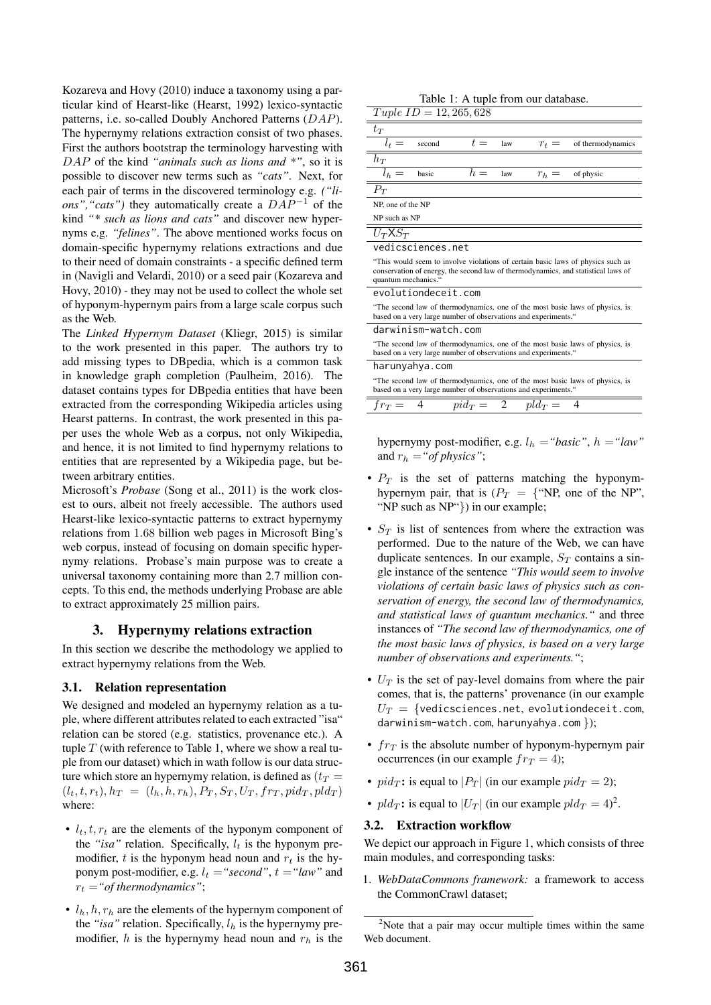Kozareva and Hovy (2010) induce a taxonomy using a particular kind of Hearst-like (Hearst, 1992) lexico-syntactic patterns, i.e. so-called Doubly Anchored Patterns (DAP). The hypernymy relations extraction consist of two phases. First the authors bootstrap the terminology harvesting with DAP of the kind *"animals such as lions and \*"*, so it is possible to discover new terms such as *"cats"*. Next, for each pair of terms in the discovered terminology e.g. *("lions", "cats"*) they automatically create a  $DAP^{-1}$  of the kind *"\* such as lions and cats"* and discover new hypernyms e.g. *"felines"*. The above mentioned works focus on domain-specific hypernymy relations extractions and due to their need of domain constraints - a specific defined term in (Navigli and Velardi, 2010) or a seed pair (Kozareva and Hovy, 2010) - they may not be used to collect the whole set of hyponym-hypernym pairs from a large scale corpus such as the Web.

The *Linked Hypernym Dataset* (Kliegr, 2015) is similar to the work presented in this paper. The authors try to add missing types to DBpedia, which is a common task in knowledge graph completion (Paulheim, 2016). The dataset contains types for DBpedia entities that have been extracted from the corresponding Wikipedia articles using Hearst patterns. In contrast, the work presented in this paper uses the whole Web as a corpus, not only Wikipedia, and hence, it is not limited to find hypernymy relations to entities that are represented by a Wikipedia page, but between arbitrary entities.

Microsoft's *Probase* (Song et al., 2011) is the work closest to ours, albeit not freely accessible. The authors used Hearst-like lexico-syntactic patterns to extract hypernymy relations from 1.68 billion web pages in Microsoft Bing's web corpus, instead of focusing on domain specific hypernymy relations. Probase's main purpose was to create a universal taxonomy containing more than 2.7 million concepts. To this end, the methods underlying Probase are able to extract approximately 25 million pairs.

## 3. Hypernymy relations extraction

In this section we describe the methodology we applied to extract hypernymy relations from the Web.

#### 3.1. Relation representation

We designed and modeled an hypernymy relation as a tuple, where different attributes related to each extracted "isa" relation can be stored (e.g. statistics, provenance etc.). A tuple  $T$  (with reference to Table 1, where we show a real tuple from our dataset) which in wath follow is our data structure which store an hypernymy relation, is defined as  $(t_T =$  $(l_t, t, r_t)$ ,  $h_T = (l_h, h, r_h)$ ,  $P_T$ ,  $S_T$ ,  $U_T$ ,  $fr_T$ ,  $pid_T$ ,  $pld_T$ ) where:

- $l_t$ ,  $t$ ,  $r_t$  are the elements of the hyponym component of the "*isa*" relation. Specifically,  $l_t$  is the hyponym premodifier, t is the hyponym head noun and  $r_t$  is the hyponym post-modifier, e.g.  $l_t =$ "second",  $t =$ "law" and  $r_t = "of thermodynamics"$ ;
- $\bullet$   $l_h$ ,  $h$ ,  $r_h$  are the elements of the hypernym component of the "*isa*" relation. Specifically,  $l_h$  is the hypernymy premodifier, h is the hypernymy head noun and  $r<sub>h</sub>$  is the

| Tuple $ID = 12, 265, 628$                                                                                                                                                                   |        |             |     |             |                   |
|---------------------------------------------------------------------------------------------------------------------------------------------------------------------------------------------|--------|-------------|-----|-------------|-------------------|
| $t_{\scriptstyle T}$                                                                                                                                                                        |        |             |     |             |                   |
| $l_t =$                                                                                                                                                                                     | second | $t =$       | law | $r_t =$     | of thermodynamics |
| $h_{\scriptstyle T}$                                                                                                                                                                        |        |             |     |             |                   |
| $l_h =$                                                                                                                                                                                     | basic  | $h =$       | law | $r_h =$     | of physic         |
| $\overline{P_T}$                                                                                                                                                                            |        |             |     |             |                   |
| NP, one of the NP                                                                                                                                                                           |        |             |     |             |                   |
| NP such as NP                                                                                                                                                                               |        |             |     |             |                   |
| $U_T$ X $S_T$                                                                                                                                                                               |        |             |     |             |                   |
| vedicsciences.net                                                                                                                                                                           |        |             |     |             |                   |
| "This would seem to involve violations of certain basic laws of physics such as<br>conservation of energy, the second law of thermodynamics, and statistical laws of<br>quantum mechanics." |        |             |     |             |                   |
| evolutiondeceit.com                                                                                                                                                                         |        |             |     |             |                   |
| "The second law of thermodynamics, one of the most basic laws of physics, is<br>based on a very large number of observations and experiments."                                              |        |             |     |             |                   |
| darwinism-watch.com                                                                                                                                                                         |        |             |     |             |                   |
| "The second law of thermodynamics, one of the most basic laws of physics, is<br>based on a very large number of observations and experiments."                                              |        |             |     |             |                   |
| harunyahya.com                                                                                                                                                                              |        |             |     |             |                   |
| "The second law of thermodynamics, one of the most basic laws of physics, is<br>based on a very large number of observations and experiments."                                              |        |             |     |             |                   |
| $fr_T =$                                                                                                                                                                                    | 4      | $pid_T = 2$ |     | $pld_{T} =$ | 4                 |

Table 1: A tuple from our database.

hypernymy post-modifier, e.g.  $l_h = "basic", h = "law"$ and  $r_h = "of physics";$ 

- $P_T$  is the set of patterns matching the hyponymhypernym pair, that is  $(P_T = \{$ "NP, one of the NP", "NP such as NP"}) in our example;
- $S_T$  is list of sentences from where the extraction was performed. Due to the nature of the Web, we can have duplicate sentences. In our example,  $S_T$  contains a single instance of the sentence *"This would seem to involve violations of certain basic laws of physics such as conservation of energy, the second law of thermodynamics, and statistical laws of quantum mechanics."* and three instances of *"The second law of thermodynamics, one of the most basic laws of physics, is based on a very large number of observations and experiments."*;
- $U_T$  is the set of pay-level domains from where the pair comes, that is, the patterns' provenance (in our example  $U_T = \{$ vedicsciences.net, evolutiondeceit.com, darwinism-watch.com, harunyahya.com });
- $fr_T$  is the absolute number of hyponym-hypernym pair occurrences (in our example  $fr_T = 4$ );
- $pid_T$ : is equal to  $|P_T|$  (in our example  $pid_T = 2$ );
- $pld_T$ : is equal to  $|U_T|$  (in our example  $pld_T = 4^2$ ).

# 3.2. Extraction workflow

We depict our approach in Figure 1, which consists of three main modules, and corresponding tasks:

1. *WebDataCommons framework:* a framework to access the CommonCrawl dataset;

 $2$ Note that a pair may occur multiple times within the same Web document.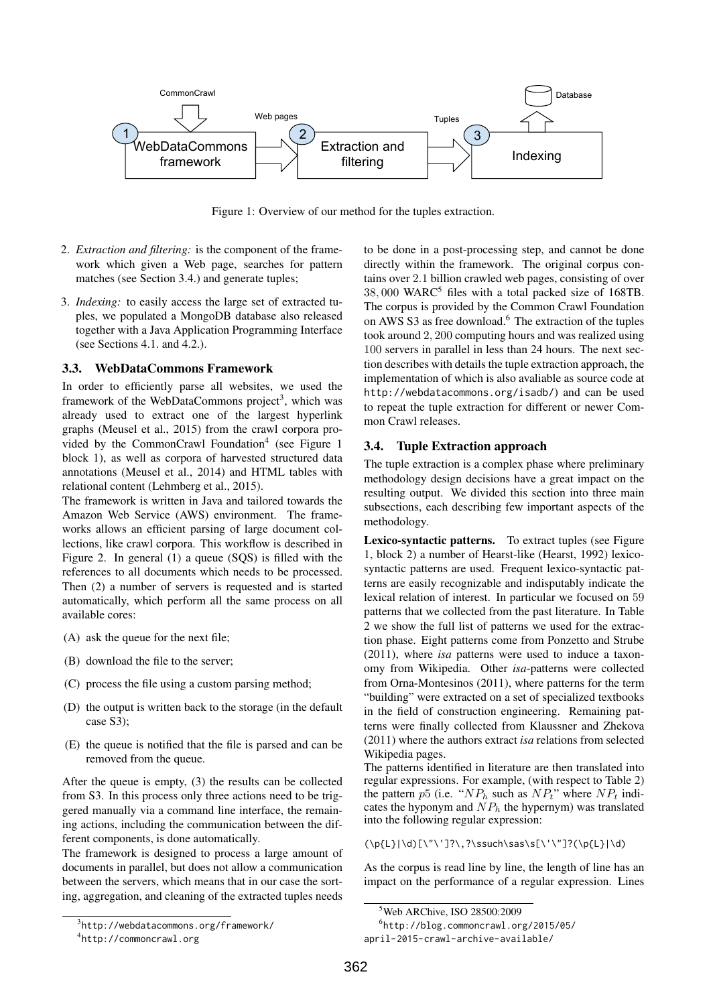

Figure 1: Overview of our method for the tuples extraction.

- 2. *Extraction and filtering:* is the component of the framework which given a Web page, searches for pattern matches (see Section 3.4.) and generate tuples;
- 3. *Indexing:* to easily access the large set of extracted tuples, we populated a MongoDB database also released together with a Java Application Programming Interface (see Sections 4.1. and 4.2.).

#### 3.3. WebDataCommons Framework

In order to efficiently parse all websites, we used the framework of the WebDataCommons project<sup>3</sup>, which was already used to extract one of the largest hyperlink graphs (Meusel et al., 2015) from the crawl corpora provided by the CommonCrawl Foundation<sup>4</sup> (see Figure 1 block 1), as well as corpora of harvested structured data annotations (Meusel et al., 2014) and HTML tables with relational content (Lehmberg et al., 2015).

The framework is written in Java and tailored towards the Amazon Web Service (AWS) environment. The frameworks allows an efficient parsing of large document collections, like crawl corpora. This workflow is described in Figure 2. In general (1) a queue (SQS) is filled with the references to all documents which needs to be processed. Then (2) a number of servers is requested and is started automatically, which perform all the same process on all available cores:

- (A) ask the queue for the next file;
- (B) download the file to the server;
- (C) process the file using a custom parsing method;
- (D) the output is written back to the storage (in the default case S3);
- (E) the queue is notified that the file is parsed and can be removed from the queue.

After the queue is empty, (3) the results can be collected from S3. In this process only three actions need to be triggered manually via a command line interface, the remaining actions, including the communication between the different components, is done automatically.

The framework is designed to process a large amount of documents in parallel, but does not allow a communication between the servers, which means that in our case the sorting, aggregation, and cleaning of the extracted tuples needs to be done in a post-processing step, and cannot be done directly within the framework. The original corpus contains over 2.1 billion crawled web pages, consisting of over 38,000 WARC<sup>5</sup> files with a total packed size of 168TB. The corpus is provided by the Common Crawl Foundation on AWS S3 as free download.<sup>6</sup> The extraction of the tuples took around 2, 200 computing hours and was realized using 100 servers in parallel in less than 24 hours. The next section describes with details the tuple extraction approach, the implementation of which is also avaliable as source code at http://webdatacommons.org/isadb/) and can be used to repeat the tuple extraction for different or newer Common Crawl releases.

#### 3.4. Tuple Extraction approach

The tuple extraction is a complex phase where preliminary methodology design decisions have a great impact on the resulting output. We divided this section into three main subsections, each describing few important aspects of the methodology.

Lexico-syntactic patterns. To extract tuples (see Figure 1, block 2) a number of Hearst-like (Hearst, 1992) lexicosyntactic patterns are used. Frequent lexico-syntactic patterns are easily recognizable and indisputably indicate the lexical relation of interest. In particular we focused on 59 patterns that we collected from the past literature. In Table 2 we show the full list of patterns we used for the extraction phase. Eight patterns come from Ponzetto and Strube (2011), where *isa* patterns were used to induce a taxonomy from Wikipedia. Other *isa*-patterns were collected from Orna-Montesinos (2011), where patterns for the term "building" were extracted on a set of specialized textbooks in the field of construction engineering. Remaining patterns were finally collected from Klaussner and Zhekova (2011) where the authors extract *isa* relations from selected Wikipedia pages.

The patterns identified in literature are then translated into regular expressions. For example, (with respect to Table 2) the pattern p5 (i.e. " $NP<sub>h</sub>$  such as  $NP<sub>t</sub>$ " where  $NP<sub>t</sub>$  indicates the hyponym and  $NP<sub>h</sub>$  the hypernym) was translated into the following regular expression:

 $(\p{L}\d{d}[\\"\\']?\\,?\\ssuch\s{L}\d{L}\d{d}$ 

As the corpus is read line by line, the length of line has an impact on the performance of a regular expression. Lines

 $^3$ http://webdatacommons.org/framework/

<sup>4</sup> http://commoncrawl.org

<sup>5</sup>Web ARChive, ISO 28500:2009

<sup>6</sup> http://blog.commoncrawl.org/2015/05/ april-2015-crawl-archive-available/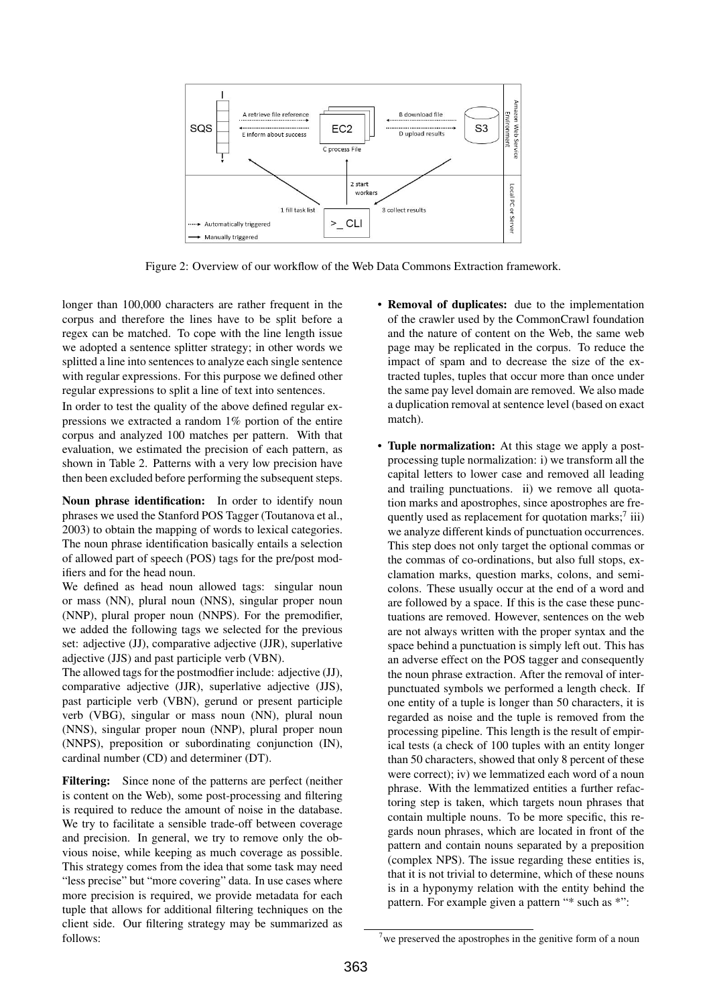

Figure 2: Overview of our workflow of the Web Data Commons Extraction framework.

longer than 100,000 characters are rather frequent in the corpus and therefore the lines have to be split before a regex can be matched. To cope with the line length issue we adopted a sentence splitter strategy; in other words we splitted a line into sentences to analyze each single sentence with regular expressions. For this purpose we defined other regular expressions to split a line of text into sentences.

In order to test the quality of the above defined regular expressions we extracted a random 1% portion of the entire corpus and analyzed 100 matches per pattern. With that evaluation, we estimated the precision of each pattern, as shown in Table 2. Patterns with a very low precision have then been excluded before performing the subsequent steps.

Noun phrase identification: In order to identify noun phrases we used the Stanford POS Tagger (Toutanova et al., 2003) to obtain the mapping of words to lexical categories. The noun phrase identification basically entails a selection of allowed part of speech (POS) tags for the pre/post modifiers and for the head noun.

We defined as head noun allowed tags: singular noun or mass (NN), plural noun (NNS), singular proper noun (NNP), plural proper noun (NNPS). For the premodifier, we added the following tags we selected for the previous set: adjective (JJ), comparative adjective (JJR), superlative adjective (JJS) and past participle verb (VBN).

The allowed tags for the postmodfier include: adjective (JJ), comparative adjective (JJR), superlative adjective (JJS), past participle verb (VBN), gerund or present participle verb (VBG), singular or mass noun (NN), plural noun (NNS), singular proper noun (NNP), plural proper noun (NNPS), preposition or subordinating conjunction (IN), cardinal number (CD) and determiner (DT).

Filtering: Since none of the patterns are perfect (neither is content on the Web), some post-processing and filtering is required to reduce the amount of noise in the database. We try to facilitate a sensible trade-off between coverage and precision. In general, we try to remove only the obvious noise, while keeping as much coverage as possible. This strategy comes from the idea that some task may need "less precise" but "more covering" data. In use cases where more precision is required, we provide metadata for each tuple that allows for additional filtering techniques on the client side. Our filtering strategy may be summarized as follows:

- Removal of duplicates: due to the implementation of the crawler used by the CommonCrawl foundation and the nature of content on the Web, the same web page may be replicated in the corpus. To reduce the impact of spam and to decrease the size of the extracted tuples, tuples that occur more than once under the same pay level domain are removed. We also made a duplication removal at sentence level (based on exact match).
- Tuple normalization: At this stage we apply a postprocessing tuple normalization: i) we transform all the capital letters to lower case and removed all leading and trailing punctuations. ii) we remove all quotation marks and apostrophes, since apostrophes are frequently used as replacement for quotation marks;<sup>7</sup> iii) we analyze different kinds of punctuation occurrences. This step does not only target the optional commas or the commas of co-ordinations, but also full stops, exclamation marks, question marks, colons, and semicolons. These usually occur at the end of a word and are followed by a space. If this is the case these punctuations are removed. However, sentences on the web are not always written with the proper syntax and the space behind a punctuation is simply left out. This has an adverse effect on the POS tagger and consequently the noun phrase extraction. After the removal of interpunctuated symbols we performed a length check. If one entity of a tuple is longer than 50 characters, it is regarded as noise and the tuple is removed from the processing pipeline. This length is the result of empirical tests (a check of 100 tuples with an entity longer than 50 characters, showed that only 8 percent of these were correct); iv) we lemmatized each word of a noun phrase. With the lemmatized entities a further refactoring step is taken, which targets noun phrases that contain multiple nouns. To be more specific, this regards noun phrases, which are located in front of the pattern and contain nouns separated by a preposition (complex NPS). The issue regarding these entities is, that it is not trivial to determine, which of these nouns is in a hyponymy relation with the entity behind the pattern. For example given a pattern "\* such as \*":

we preserved the apostrophes in the genitive form of a noun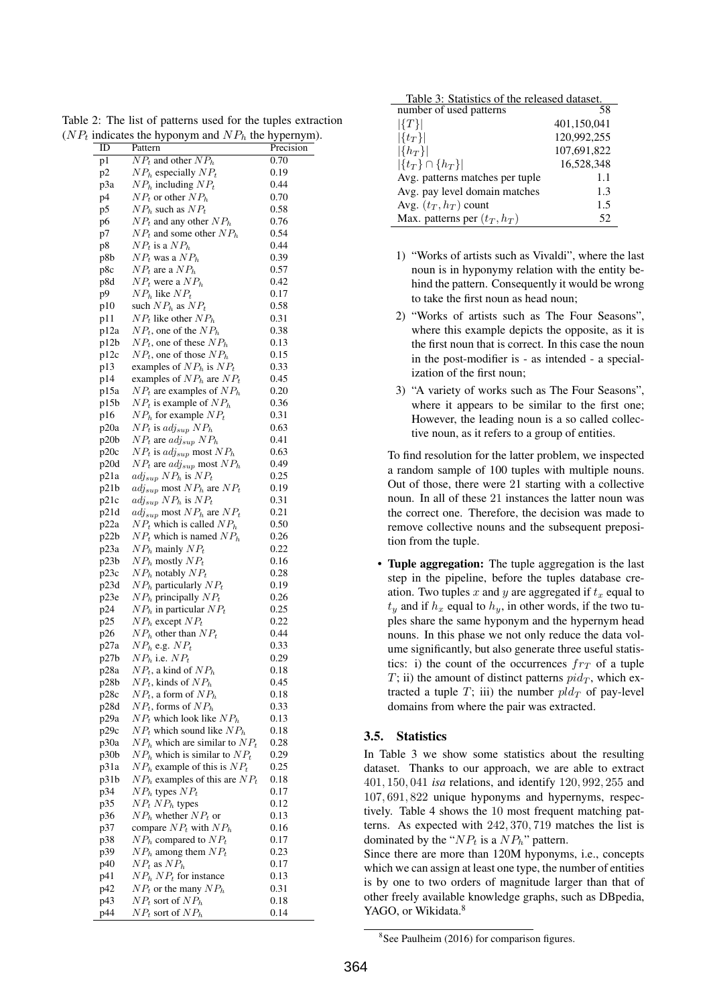| ID   | Pattern                                  | Precision |
|------|------------------------------------------|-----------|
| p1   | $NP_t$ and other $NP_h$                  | 0.70      |
| p2   | $NPh$ especially $NPt$                   | 0.19      |
| p3a  | $NPh$ including $NPt$                    | 0.44      |
| p4   | $NP_t$ or other $NP_h$                   | 0.70      |
| p5   | $NPh$ such as $NPt$                      | 0.58      |
| р6   | $NP_t$ and any other $NP_h$              | 0.76      |
| p7   | $NP_t$ and some other $NP_h$             | 0.54      |
| p8   | $NP_t$ is a $NP_h$                       | 0.44      |
| p8b  | $NP_t$ was a $NP_h$                      | 0.39      |
| p8c  | $NP_t$ are a $NP_h$                      | 0.57      |
| p8d  | $NP_t$ were a $NP_h$                     | 0.42      |
| p9   | $NPh$ like $NPt$                         | 0.17      |
| p10  | such $NPh$ as $NPt$                      | 0.58      |
| p11  | $NP_t$ like other $NP_h$                 | 0.31      |
| p12a | $NP_t$ , one of the $NP_h$               | 0.38      |
| p12b | $NP_t$ , one of these $NP_h$             | 0.13      |
| p12c | $NP_t$ , one of those $NP_h$             | 0.15      |
| p13  | examples of $NPh$ is $NPt$               | 0.33      |
| p14  | examples of $NPh$ are $NPt$              | 0.45      |
| p15a | $NP_t$ are examples of $NP_h$            | 0.20      |
| p15b | $NP_t$ is example of $NP_h$              | 0.36      |
| p16  | $NPh$ for example $NPt$                  | 0.31      |
| p20a | $NP_t$ is adj <sub>sup</sub> $NP_h$      | 0.63      |
| p20b | $NP_t$ are $adj_{sup} NP_h$              | 0.41      |
| p20c | $NP_t$ is adj <sub>sup</sub> most $NP_h$ | 0.63      |
| p20d | $NP_t$ are $adj_{sup}$ most $NP_h$       | 0.49      |
| p21a | $adj_{sup} NP_h$ is $NP_t$               | 0.25      |
| p21b | $adj_{sup}$ most $NP_h$ are $NP_t$       | 0.19      |
| p21c | $adj_{sup} NP_h$ is $NP_t$               | 0.31      |
| p21d | $adj_{sup}$ most $NP_h$ are $NP_t$       | 0.21      |
| p22a | $NP_t$ which is called $NP_h$            | 0.50      |
| p22b | $NP_t$ which is named $NP_h$             | 0.26      |
| p23a | $NPh$ mainly $NPt$                       | 0.22      |
| p23b | $NPh$ mostly $NPt$                       | 0.16      |
| p23c | $NPh$ notably $NPt$                      | 0.28      |
| p23d | $NPh$ particularly $NPt$                 | 0.19      |
| p23e | $NPh$ principally $NPt$                  | 0.26      |
| p24  | $NPh$ in particular $NPt$                | 0.25      |
| p25  | $NPh$ except $NPt$                       | 0.22      |
| p26  | $NPh$ other than $NPt$                   | 0.44      |
| p27a | $NP_h$ e.g. $NP_t$                       | 0.33      |
| p27b | $NPh$ i.e. $NPt$                         | 0.29      |
| p28a | $NP_t$ , a kind of $NP_h$                | 0.18      |
| p28b | $NP_t$ , kinds of $NP_h$                 | 0.45      |
| p28c | $NP_t$ , a form of $NP_h$                | 0.18      |
| p28d | $NP_t$ , forms of $NP_h$                 | 0.33      |
| p29a | $NP_t$ which look like $NP_h$            | 0.13      |
| p29c | $NP_t$ which sound like $NP_h$           | 0.18      |
| p30a | $NPh$ which are similar to $NPt$         | 0.28      |
| p30b | $NPh$ which is similar to $NPt$          | 0.29      |
| p31a | $NPh$ example of this is $NPt$           | 0.25      |
| p31b | $NPh$ examples of this are $NPt$         | 0.18      |
| p34  | $NPh$ types $NPt$                        | 0.17      |
| p35  | $NP_t NP_h$ types                        | 0.12      |
| p36  | $NPh$ whether $NPt$ or                   | 0.13      |
| p37  | compare $NP_t$ with $NP_h$               | 0.16      |
| p38  | $NPh$ compared to $NPt$                  | 0.17      |
| p39  | $NPh$ among them $NPt$                   | 0.23      |
| p40  | $NP_t$ as $NP_h$                         | 0.17      |
| p41  | $NPh NPt$ for instance                   | 0.13      |
| p42  | $NP_t$ or the many $NP_h$                | 0.31      |
| p43  | $NP_t$ sort of $NP_h$                    | 0.18      |
| p44  | $NP_t$ sort of $NP_h$                    | 0.14      |
|      |                                          |           |

Table 2: The list of patterns used for the tuples extraction  $(NP_t$  indicates the hyponym and  $NP_h$  the hypernym).

| Table 3: Statistics of the released dataset. |             |  |
|----------------------------------------------|-------------|--|
| number of used patterns                      | 58          |  |
| $ \{T\} $                                    | 401,150,041 |  |
| $ \{t_T\} $                                  | 120,992,255 |  |
| $ \{h_T\} $                                  | 107,691,822 |  |
| $ \{t_T\} \cap \{h_T\} $                     | 16,528,348  |  |
| Avg. patterns matches per tuple              | 1.1         |  |
| Avg. pay level domain matches                | 1.3         |  |
| Avg. $(t_T, h_T)$ count                      | 1.5         |  |
| Max. patterns per $(t_T, h_T)$               | 52          |  |

- 1) "Works of artists such as Vivaldi", where the last noun is in hyponymy relation with the entity behind the pattern. Consequently it would be wrong to take the first noun as head noun;
- 2) "Works of artists such as The Four Seasons", where this example depicts the opposite, as it is the first noun that is correct. In this case the noun in the post-modifier is - as intended - a specialization of the first noun;
- 3) "A variety of works such as The Four Seasons", where it appears to be similar to the first one; However, the leading noun is a so called collective noun, as it refers to a group of entities.

To find resolution for the latter problem, we inspected a random sample of 100 tuples with multiple nouns. Out of those, there were 21 starting with a collective noun. In all of these 21 instances the latter noun was the correct one. Therefore, the decision was made to remove collective nouns and the subsequent preposition from the tuple.

Tuple aggregation: The tuple aggregation is the last step in the pipeline, before the tuples database creation. Two tuples x and y are aggregated if  $t<sub>x</sub>$  equal to  $t<sub>y</sub>$  and if  $h<sub>x</sub>$  equal to  $h<sub>y</sub>$ , in other words, if the two tuples share the same hyponym and the hypernym head nouns. In this phase we not only reduce the data volume significantly, but also generate three useful statistics: i) the count of the occurrences  $fr<sub>T</sub>$  of a tuple T; ii) the amount of distinct patterns  $pid_T$ , which extracted a tuple T; iii) the number  $pld_T$  of pay-level domains from where the pair was extracted.

# 3.5. Statistics

In Table 3 we show some statistics about the resulting dataset. Thanks to our approach, we are able to extract 401, 150, 041 *isa* relations, and identify 120, 992, 255 and 107, 691, 822 unique hyponyms and hypernyms, respectively. Table 4 shows the 10 most frequent matching patterns. As expected with 242, 370, 719 matches the list is dominated by the " $NP_t$  is a  $NP_h$ " pattern.

Since there are more than 120M hyponyms, i.e., concepts which we can assign at least one type, the number of entities is by one to two orders of magnitude larger than that of other freely available knowledge graphs, such as DBpedia, YAGO, or Wikidata.<sup>8</sup>

<sup>8</sup> See Paulheim (2016) for comparison figures.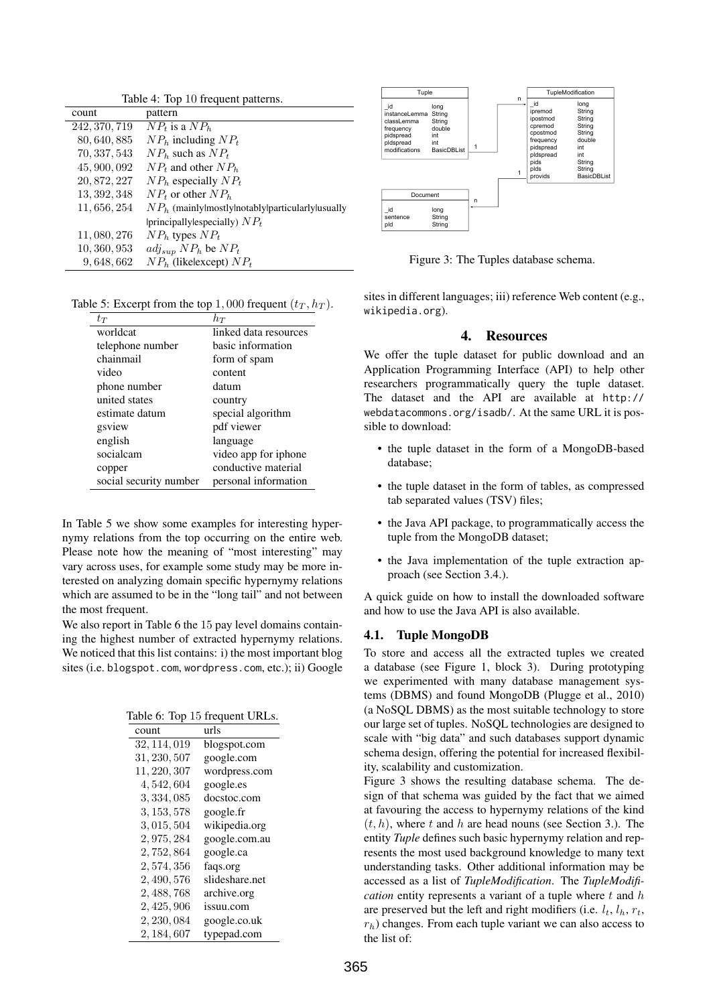| Table 4: Top 10 frequent patterns. |                                                      |  |
|------------------------------------|------------------------------------------------------|--|
| count                              | pattern                                              |  |
| 242, 370, 719                      | $NP_t$ is a $NP_b$                                   |  |
| 80, 640, 885                       | $NPh$ including $NPt$                                |  |
| 70, 337, 543                       | $NPb$ such as $NPt$                                  |  |
| 45, 900, 092                       | $NP_t$ and other $NP_h$                              |  |
| 20, 872, 227                       | $NPh$ especially $NPt$                               |  |
| 13, 392, 348                       | $NP_t$ or other $NP_h$                               |  |
| 11, 656, 254                       | $NPh$ (mainly mostly inotably iparticularly lusually |  |
|                                    | principally especially) $NP_t$                       |  |
| 11, 080, 276                       | $NPh$ types $NPt$                                    |  |
| 10, 360, 953                       | $adj_{sup} NP_h$ be $NP_t$                           |  |
| 9,648,662                          | $NPh$ (likelexcept) $NPt$                            |  |

Table 5: Excerpt from the top 1,000 frequent  $(t_T, h_T)$ .

| $t_{T}$                | $h_T$                 |  |
|------------------------|-----------------------|--|
| worldcat               | linked data resources |  |
| telephone number       | basic information     |  |
| chainmail              | form of spam          |  |
| video                  | content               |  |
| phone number           | datum                 |  |
| united states          | country               |  |
| estimate datum         | special algorithm     |  |
| gsview                 | pdf viewer            |  |
| english                | language              |  |
| socialcam              | video app for iphone  |  |
| copper                 | conductive material   |  |
| social security number | personal information  |  |

In Table 5 we show some examples for interesting hypernymy relations from the top occurring on the entire web. Please note how the meaning of "most interesting" may vary across uses, for example some study may be more interested on analyzing domain specific hypernymy relations which are assumed to be in the "long tail" and not between the most frequent.

We also report in Table 6 the 15 pay level domains containing the highest number of extracted hypernymy relations. We noticed that this list contains: i) the most important blog sites (i.e. blogspot.com, wordpress.com, etc.); ii) Google

Table 6: Top 15 frequent URLs.

| count        | urls           |
|--------------|----------------|
| 32, 114, 019 | blogspot.com   |
| 31, 230, 507 | google.com     |
| 11, 220, 307 | wordpress.com  |
| 4, 542, 604  | google.es      |
| 3, 334, 085  | docstoc.com    |
| 3, 153, 578  | google.fr      |
| 3, 015, 504  | wikipedia.org  |
| 2, 975, 284  | google.com.au  |
| 2, 752, 864  | google.ca      |
| 2, 574, 356  | faqs.org       |
| 2, 490, 576  | slideshare.net |
| 2, 488, 768  | archive.org    |
| 2, 425, 906  | issuu.com      |
| 2, 230, 084  | google.co.uk   |
| 2, 184, 607  | typepad.com    |



Figure 3: The Tuples database schema.

sites in different languages; iii) reference Web content (e.g., wikipedia.org).

# 4. Resources

We offer the tuple dataset for public download and an Application Programming Interface (API) to help other researchers programmatically query the tuple dataset. The dataset and the API are available at http:// webdatacommons.org/isadb/. At the same URL it is possible to download:

- the tuple dataset in the form of a MongoDB-based database;
- the tuple dataset in the form of tables, as compressed tab separated values (TSV) files;
- the Java API package, to programmatically access the tuple from the MongoDB dataset;
- the Java implementation of the tuple extraction approach (see Section 3.4.).

A quick guide on how to install the downloaded software and how to use the Java API is also available.

# 4.1. Tuple MongoDB

To store and access all the extracted tuples we created a database (see Figure 1, block 3). During prototyping we experimented with many database management systems (DBMS) and found MongoDB (Plugge et al., 2010) (a NoSQL DBMS) as the most suitable technology to store our large set of tuples. NoSQL technologies are designed to scale with "big data" and such databases support dynamic schema design, offering the potential for increased flexibility, scalability and customization.

Figure 3 shows the resulting database schema. The design of that schema was guided by the fact that we aimed at favouring the access to hypernymy relations of the kind  $(t, h)$ , where t and h are head nouns (see Section 3.). The entity *Tuple* defines such basic hypernymy relation and represents the most used background knowledge to many text understanding tasks. Other additional information may be accessed as a list of *TupleModification*. The *TupleModification* entity represents a variant of a tuple where t and h are preserved but the left and right modifiers (i.e.  $l_t$ ,  $l_h$ ,  $r_t$ ,  $r<sub>h</sub>$ ) changes. From each tuple variant we can also access to the list of: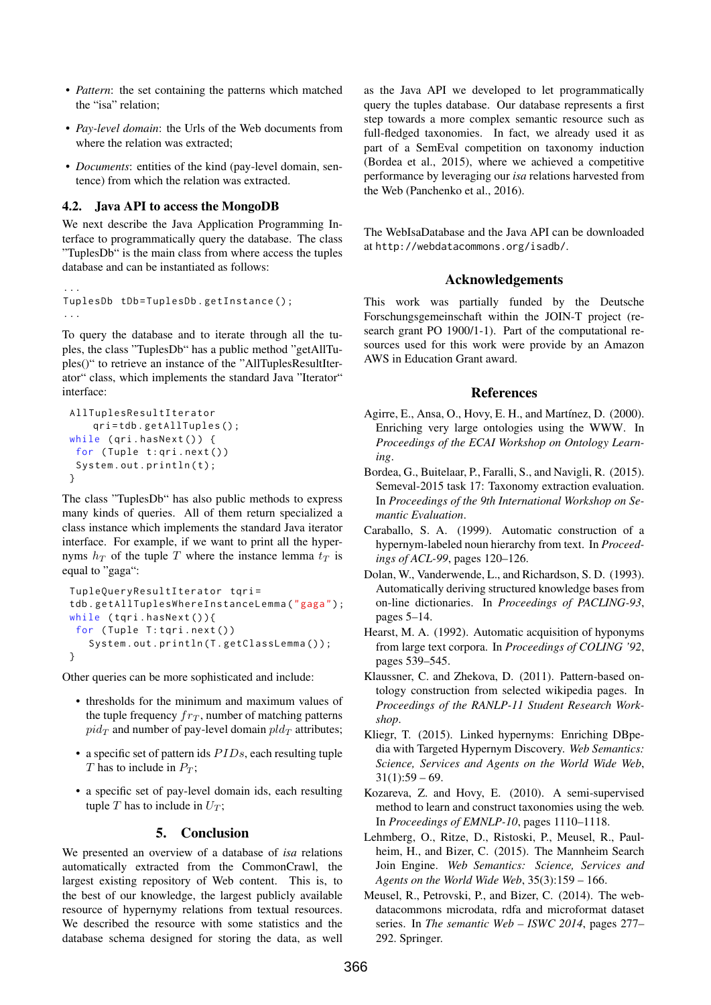- *Pattern*: the set containing the patterns which matched the "isa" relation;
- *Pay-level domain*: the Urls of the Web documents from where the relation was extracted;
- *Documents*: entities of the kind (pay-level domain, sentence) from which the relation was extracted.

# 4.2. Java API to access the MongoDB

We next describe the Java Application Programming Interface to programmatically query the database. The class "TuplesDb" is the main class from where access the tuples database and can be instantiated as follows:

```
...
TuplesDb tDb=TuplesDb.getInstance();
...
```
To query the database and to iterate through all the tuples, the class "TuplesDb" has a public method "getAllTuples()" to retrieve an instance of the "AllTuplesResultIterator" class, which implements the standard Java "Iterator" interface:

```
AllTuplesResultIterator
    qri = tdb . getAllTuples () ;
while (\pi i \cdot \text{hasNext}() ) {
 for (Tuple t : qri.next())
 System.out.println(t);}
```
The class "TuplesDb" has also public methods to express many kinds of queries. All of them return specialized a class instance which implements the standard Java iterator interface. For example, if we want to print all the hypernyms  $h_T$  of the tuple T where the instance lemma  $t_T$  is equal to "gaga":

```
TupleQueryResultIterator tqri=
tdb . getAllTuplesWhereInstanceLemma (" gaga ") ;
while (tqri.hasNext()){
for (Tuple T:tqri.next())
   System.out.println(T.getClassLemma());
}
```
Other queries can be more sophisticated and include:

- thresholds for the minimum and maximum values of the tuple frequency  $fr_T$ , number of matching patterns  $pid_T$  and number of pay-level domain  $pld_T$  attributes;
- a specific set of pattern ids  $PIDs$ , each resulting tuple T has to include in  $P_T$ ;
- a specific set of pay-level domain ids, each resulting tuple T has to include in  $U_T$ ;

# 5. Conclusion

We presented an overview of a database of *isa* relations automatically extracted from the CommonCrawl, the largest existing repository of Web content. This is, to the best of our knowledge, the largest publicly available resource of hypernymy relations from textual resources. We described the resource with some statistics and the database schema designed for storing the data, as well as the Java API we developed to let programmatically query the tuples database. Our database represents a first step towards a more complex semantic resource such as full-fledged taxonomies. In fact, we already used it as part of a SemEval competition on taxonomy induction (Bordea et al., 2015), where we achieved a competitive performance by leveraging our *isa* relations harvested from the Web (Panchenko et al., 2016).

The WebIsaDatabase and the Java API can be downloaded at http://webdatacommons.org/isadb/.

# Acknowledgements

This work was partially funded by the Deutsche Forschungsgemeinschaft within the JOIN-T project (research grant PO 1900/1-1). Part of the computational resources used for this work were provide by an Amazon AWS in Education Grant award.

# References

- Agirre, E., Ansa, O., Hovy, E. H., and Martínez, D. (2000). Enriching very large ontologies using the WWW. In *Proceedings of the ECAI Workshop on Ontology Learning*.
- Bordea, G., Buitelaar, P., Faralli, S., and Navigli, R. (2015). Semeval-2015 task 17: Taxonomy extraction evaluation. In *Proceedings of the 9th International Workshop on Semantic Evaluation*.
- Caraballo, S. A. (1999). Automatic construction of a hypernym-labeled noun hierarchy from text. In *Proceedings of ACL-99*, pages 120–126.
- Dolan, W., Vanderwende, L., and Richardson, S. D. (1993). Automatically deriving structured knowledge bases from on-line dictionaries. In *Proceedings of PACLING-93*, pages 5–14.
- Hearst, M. A. (1992). Automatic acquisition of hyponyms from large text corpora. In *Proceedings of COLING '92*, pages 539–545.
- Klaussner, C. and Zhekova, D. (2011). Pattern-based ontology construction from selected wikipedia pages. In *Proceedings of the RANLP-11 Student Research Workshop*.
- Kliegr, T. (2015). Linked hypernyms: Enriching DBpedia with Targeted Hypernym Discovery. *Web Semantics: Science, Services and Agents on the World Wide Web*,  $31(1):59 - 69.$
- Kozareva, Z. and Hovy, E. (2010). A semi-supervised method to learn and construct taxonomies using the web. In *Proceedings of EMNLP-10*, pages 1110–1118.
- Lehmberg, O., Ritze, D., Ristoski, P., Meusel, R., Paulheim, H., and Bizer, C. (2015). The Mannheim Search Join Engine. *Web Semantics: Science, Services and Agents on the World Wide Web*, 35(3):159 – 166.
- Meusel, R., Petrovski, P., and Bizer, C. (2014). The webdatacommons microdata, rdfa and microformat dataset series. In *The semantic Web – ISWC 2014*, pages 277– 292. Springer.